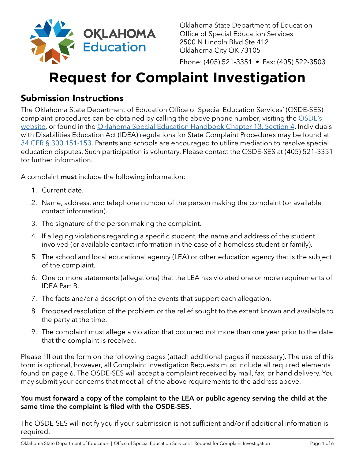

Oklahoma State Department of Education Office of Special Education Services 2500 N Lincoln Blvd Ste 412 Oklahoma City OK 73105

Phone: (405) 521-3351 • Fax: (405) 522-3503

# **Request for Complaint Investigation**

### Submission Instructions

The Oklahoma State Department of Education Office of Special Education Services' (OSDE-SES) complaint procedures can be obtained by calling the above phone number, visiting the OSDE's [website](http://sde.ok.gov/special-education), or found in the [Oklahoma Special Education Handbook Chapter 13, Section 4.](https://sde.ok.gov/sites/default/files/documents/files/Oklahoma%20Special%20Education%20Handbook%20%28live%29.pdf) Individuals with Disabilities Education Act (IDEA) regulations for State Complaint Procedures may be found at 34 CFR § [300.151-153](https://www.ecfr.gov/cgi-bin/text-idx?SID=ff78e32af485af2872dcd4a6f0de6d69&mc=true&node=sg34.2.300_1150.sg12&rgn=div7). Parents and schools are encouraged to utilize mediation to resolve special education disputes. Such participation is voluntary. Please contact the OSDE-SES at (405) 521-3351 for further information.

A complaint **must** include the following information:

- 1. Current date.
- 2. Name, address, and telephone number of the person making the complaint (or available contact information).
- 3. The signature of the person making the complaint.
- 4. If alleging violations regarding a specific student, the name and address of the student involved (or available contact information in the case of a homeless student or family).
- 5. The school and local educational agency (LEA) or other education agency that is the subject of the complaint.
- 6. One or more statements (allegations) that the LEA has violated one or more requirements of IDEA Part B.
- 7. The facts and/or a description of the events that support each allegation.
- 8. Proposed resolution of the problem or the relief sought to the extent known and available to the party at the time.
- 9. The complaint must allege a violation that occurred not more than one year prior to the date that the complaint is received.

Please fill out the form on the following pages (attach additional pages if necessary). The use of this form is optional, however, all Complaint Investigation Requests must include all required elements found on page 6. The OSDE-SES will accept a complaint received by mail, fax, or hand delivery. You may submit your concerns that meet all of the above requirements to the address above.

#### You must forward a copy of the complaint to the LEA or public agency serving the child at the same time the complaint is filed with the OSDE-SES.

The OSDE-SES will notify you if your submission is not sufficient and/or if additional information is required.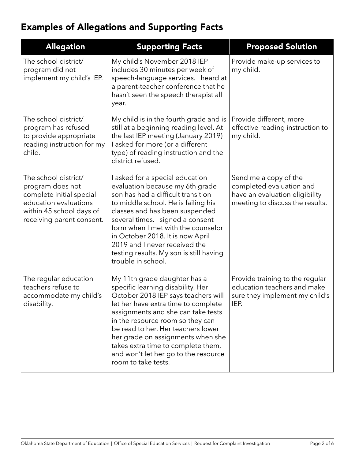# Examples of Allegations and Supporting Facts

| <b>Allegation</b>                                                                                                                                      | <b>Supporting Facts</b>                                                                                                                                                                                                                                                                                                                                                                                   | <b>Proposed Solution</b>                                                                                               |
|--------------------------------------------------------------------------------------------------------------------------------------------------------|-----------------------------------------------------------------------------------------------------------------------------------------------------------------------------------------------------------------------------------------------------------------------------------------------------------------------------------------------------------------------------------------------------------|------------------------------------------------------------------------------------------------------------------------|
| The school district/<br>program did not<br>implement my child's IEP.                                                                                   | My child's November 2018 IEP<br>includes 30 minutes per week of<br>speech-language services. I heard at<br>a parent-teacher conference that he<br>hasn't seen the speech therapist all<br>year.                                                                                                                                                                                                           | Provide make-up services to<br>my child.                                                                               |
| The school district/<br>program has refused<br>to provide appropriate<br>reading instruction for my<br>child.                                          | My child is in the fourth grade and is<br>still at a beginning reading level. At<br>the last IEP meeting (January 2019)<br>I asked for more (or a different<br>type) of reading instruction and the<br>district refused.                                                                                                                                                                                  | Provide different, more<br>effective reading instruction to<br>my child.                                               |
| The school district/<br>program does not<br>complete initial special<br>education evaluations<br>within 45 school days of<br>receiving parent consent. | I asked for a special education<br>evaluation because my 6th grade<br>son has had a difficult transition<br>to middle school. He is failing his<br>classes and has been suspended<br>several times. I signed a consent<br>form when I met with the counselor<br>in October 2018. It is now April<br>2019 and I never received the<br>testing results. My son is still having<br>trouble in school.        | Send me a copy of the<br>completed evaluation and<br>have an evaluation eligibility<br>meeting to discuss the results. |
| The regular education<br>teachers refuse to<br>accommodate my child's<br>disability.                                                                   | My 11th grade daughter has a<br>specific learning disability. Her<br>October 2018 IEP says teachers will<br>let her have extra time to complete<br>assignments and she can take tests<br>in the resource room so they can<br>be read to her. Her teachers lower<br>her grade on assignments when she<br>takes extra time to complete them,<br>and won't let her go to the resource<br>room to take tests. | Provide training to the regular<br>education teachers and make<br>sure they implement my child's<br>IEP.               |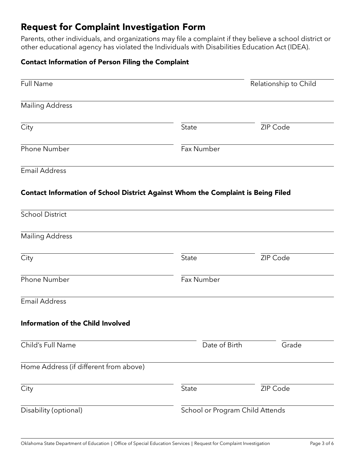### Request for Complaint Investigation Form

Parents, other individuals, and organizations may file a complaint if they believe a school district or other educational agency has violated the Individuals with Disabilities Education Act (IDEA).

#### Contact Information of Person Filing the Complaint

| <b>Full Name</b>                                                                 |                                 | Relationship to Child |  |
|----------------------------------------------------------------------------------|---------------------------------|-----------------------|--|
| <b>Mailing Address</b>                                                           |                                 |                       |  |
| City                                                                             | State                           | ZIP Code              |  |
| <b>Phone Number</b>                                                              | Fax Number                      |                       |  |
| <b>Email Address</b>                                                             |                                 |                       |  |
| Contact Information of School District Against Whom the Complaint is Being Filed |                                 |                       |  |
| <b>School District</b>                                                           |                                 |                       |  |
|                                                                                  |                                 |                       |  |
| <b>Mailing Address</b>                                                           |                                 |                       |  |
| City                                                                             | <b>State</b>                    | ZIP Code              |  |
| Phone Number                                                                     | Fax Number                      |                       |  |
| <b>Email Address</b>                                                             |                                 |                       |  |
| <b>Information of the Child Involved</b>                                         |                                 |                       |  |
| Child's Full Name                                                                | Date of Birth                   | Grade                 |  |
| Home Address (if different from above)                                           |                                 |                       |  |
| City                                                                             | State                           | ZIP Code              |  |
| Disability (optional)                                                            | School or Program Child Attends |                       |  |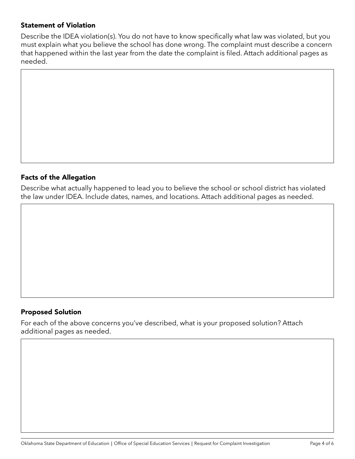#### Statement of Violation

Describe the IDEA violation(s). You do not have to know specifically what law was violated, but you must explain what you believe the school has done wrong. The complaint must describe a concern that happened within the last year from the date the complaint is filed. Attach additional pages as needed.

#### Facts of the Allegation

Describe what actually happened to lead you to believe the school or school district has violated the law under IDEA. Include dates, names, and locations. Attach additional pages as needed.

#### Proposed Solution

For each of the above concerns you've described, what is your proposed solution? Attach additional pages as needed.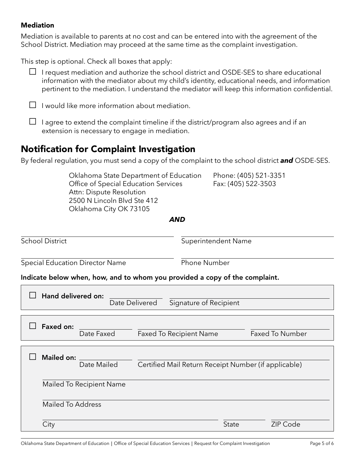#### Mediation

Mediation is available to parents at no cost and can be entered into with the agreement of the School District. Mediation may proceed at the same time as the complaint investigation.

This step is optional. Check all boxes that apply:

|  |  | $\Box$ I request mediation and authorize the school district and OSDE-SES to share educational |  |  |  |
|--|--|------------------------------------------------------------------------------------------------|--|--|--|
|  |  | information with the mediator about my child's identity, educational needs, and information    |  |  |  |
|  |  | pertinent to the mediation. I understand the mediator will keep this information confidential. |  |  |  |

 $\Box$  I would like more information about mediation.

 $\Box$  I agree to extend the complaint timeline if the district/program also agrees and if an extension is necessary to engage in mediation.

### Notification for Complaint Investigation

By federal regulation, you must send a copy of the complaint to the school district *and* OSDE-SES.

|                                        | Oklahoma State Department of Education<br>Office of Special Education Services<br>Attn: Dispute Resolution<br>2500 N Lincoln Blvd Ste 412<br>Oklahoma City OK 73105 |                                                                             |                                | Fax: (405) 522-3503        | Phone: (405) 521-3351 |  |
|----------------------------------------|---------------------------------------------------------------------------------------------------------------------------------------------------------------------|-----------------------------------------------------------------------------|--------------------------------|----------------------------|-----------------------|--|
|                                        |                                                                                                                                                                     |                                                                             | AND                            |                            |                       |  |
| <b>School District</b>                 |                                                                                                                                                                     |                                                                             |                                | <b>Superintendent Name</b> |                       |  |
| <b>Special Education Director Name</b> |                                                                                                                                                                     |                                                                             |                                | Phone Number               |                       |  |
|                                        |                                                                                                                                                                     | Indicate below when, how, and to whom you provided a copy of the complaint. |                                |                            |                       |  |
|                                        | Hand delivered on:                                                                                                                                                  | Date Delivered                                                              |                                | Signature of Recipient     |                       |  |
|                                        | <b>Faxed on:</b><br>Date Faxed                                                                                                                                      |                                                                             | <b>Faxed To Recipient Name</b> |                            | Faxed To Number       |  |

| Mailed on:<br>Date Mailed | Certified Mail Return Receipt Number (if applicable) |              |                 |
|---------------------------|------------------------------------------------------|--------------|-----------------|
| Mailed To Recipient Name  |                                                      |              |                 |
| Mailed To Address         |                                                      |              |                 |
| City                      |                                                      | <b>State</b> | <b>ZIP Code</b> |